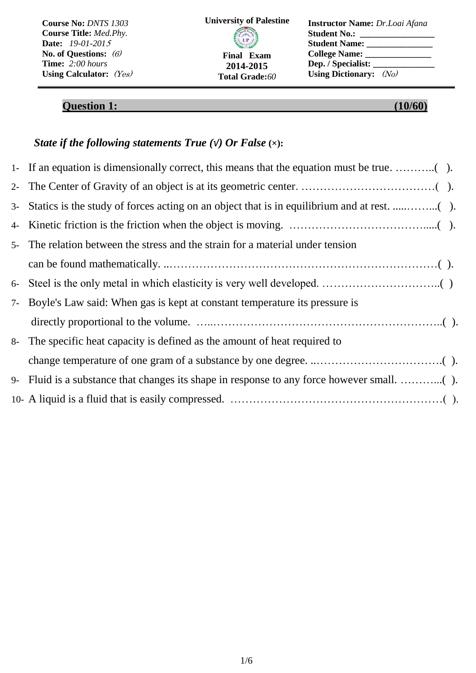| Course No: DNTS 1303              | <b>University of Palestine</b> | <b>Instructor Name:</b> Dr.Loai Afana |
|-----------------------------------|--------------------------------|---------------------------------------|
| <b>Course Title:</b> Med.Phy.     |                                | <b>Student No.:</b>                   |
| <b>Date:</b> $19-01-2015$         | <b>CIP</b>                     | <b>Student Name:</b>                  |
| No. of Questions: $(6)$           | <b>Final Exam</b>              | College Name:                         |
| <b>Time:</b> $2:00 \text{ hours}$ | 2014-2015                      | Dep. / Specialist:                    |
| Using Calculator: $(Y_{es})$      | <b>Total Grade:60</b>          | Using Dictionary: $(N_0)$             |

# **Question 1:** (10/60)

## *State if the following statements True (√) Or False* **(×):**

| $5-$ | The relation between the stress and the strain for a material under tension   |
|------|-------------------------------------------------------------------------------|
|      |                                                                               |
| $6-$ |                                                                               |
|      | 7- Boyle's Law said: When gas is kept at constant temperature its pressure is |
|      |                                                                               |
|      | 8- The specific heat capacity is defined as the amount of heat required to    |
|      |                                                                               |
| $9-$ |                                                                               |
|      |                                                                               |
|      |                                                                               |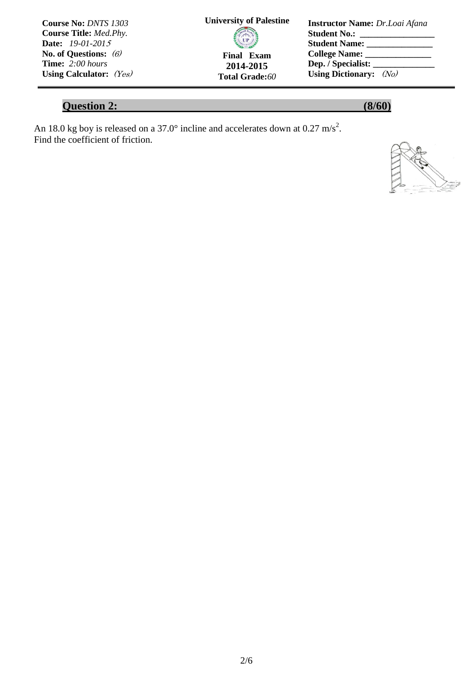| <b>Course No: DNTS 1303</b>    | <b>University of Palestine</b> | <b>Instructor Name:</b> Dr. Loai Afana |
|--------------------------------|--------------------------------|----------------------------------------|
| <b>Course Title:</b> Med. Phy. |                                | <b>Student No.:</b>                    |
| <b>Date:</b> $19-01-2015$      | <b>CIP</b>                     | <b>Student Name:</b>                   |
| No. of Questions: $(6)$        | Final Exam                     |                                        |
| <b>Time:</b> $2:00$ hours      | 2014-2015                      |                                        |
| Using Calculator: $(Yes)$      | <b>Total Grade:60</b>          | Using Dictionary: $(N_0)$              |

# **Question 2:** (8/60)

An 18.0 kg boy is released on a 37.0 $^{\circ}$  incline and accelerates down at 0.27 m/s<sup>2</sup>. Find the coefficient of friction.

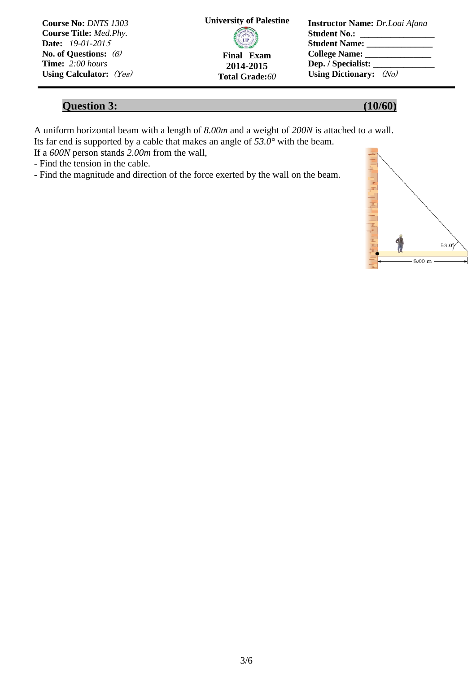| <b>Course No: DNTS 1303</b>    | <b>University of Palestine</b> | <b>Instructor Name:</b> Dr. Loai Afana |
|--------------------------------|--------------------------------|----------------------------------------|
| <b>Course Title:</b> Med. Phy. |                                | <b>Student No.:</b>                    |
| <b>Date:</b> 19-01-2015        | <b>CIP</b>                     | <b>Student Name:</b>                   |
| No. of Questions: $(6)$        | <b>Final Exam</b>              |                                        |
| <b>Time:</b> $2:00$ hours      | 2014-2015                      | Dep. / Specialist:                     |
| Using Calculator: $(Y_{es})$   | <b>Total Grade:60</b>          | Using Dictionary: $(N_0)$              |

### **Question 3: (10/60)**

A uniform horizontal beam with a length of *8.00m* and a weight of *200N* is attached to a wall. Its far end is supported by a cable that makes an angle of  $53.0^{\circ}$  with the beam.

If a *600N* person stands *2.00m* from the wall,

- Find the tension in the cable.

- Find the magnitude and direction of the force exerted by the wall on the beam.

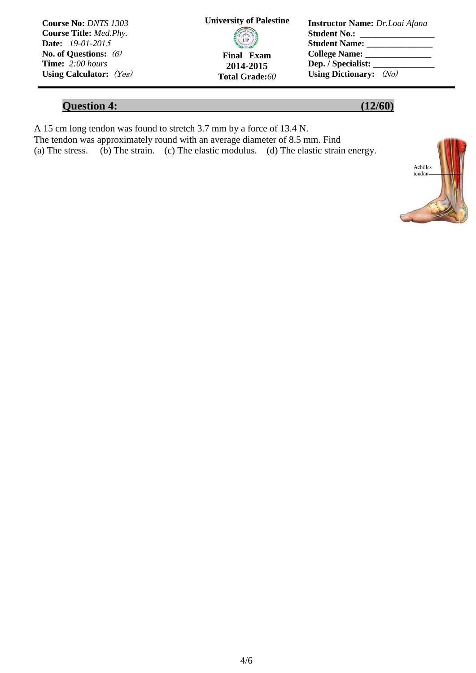| <b>Course No: DNTS 1303</b>   | <b>University of Palestine</b> | <b>Instructor Name:</b> Dr.Loai Afana |
|-------------------------------|--------------------------------|---------------------------------------|
| <b>Course Title: Med.Phy.</b> |                                | <b>Student No.:</b>                   |
| <b>Date:</b> 19-01-2015       | <b>CIP</b>                     | <b>Student Name:</b>                  |
| No. of Questions: $(6)$       | Final Exam                     | College Name:                         |
| <b>Time:</b> $2:00$ hours     | 2014-2015                      | Dep. / Specialist:                    |
| Using Calculator: $(Yes)$     | <b>Total Grade:60</b>          | Using Dictionary: $(No)$              |

## **Question 4:** (12/60)

A 15 cm long tendon was found to stretch 3.7 mm by a force of 13.4 N. The tendon was approximately round with an average diameter of 8.5 mm. Find (a) The stress. (b) The strain. (c) The elastic modulus. (d) The elastic strain energy.

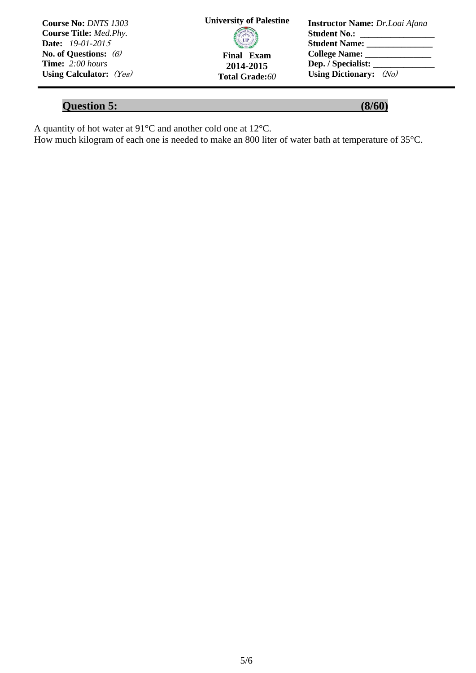| <b>Course No: DNTS 1303</b>    | <b>University of Palestine</b> | <b>Instructor Name:</b> Dr.Loai Afana       |
|--------------------------------|--------------------------------|---------------------------------------------|
| <b>Course Title:</b> Med. Phy. |                                | <b>Student No.:</b>                         |
| <b>Date:</b> $19-01-2015$      | <b>CIP</b>                     | <b>Student Name:</b>                        |
| No. of Questions: $(6)$        | <b>Final Exam</b>              | College Name: 2008                          |
| <b>Time:</b> $2:00$ hours      | 2014-2015                      | Dep. / Specialist: $\overline{\phantom{a}}$ |
| Using Calculator: $(Yes)$      | <b>Total Grade:60</b>          | Using Dictionary: $(N_0)$                   |

# **Question 5:** (8/60)

A quantity of hot water at  $91^{\circ}$ C and another cold one at  $12^{\circ}$ C.

How much kilogram of each one is needed to make an 800 liter of water bath at temperature of 35°C.